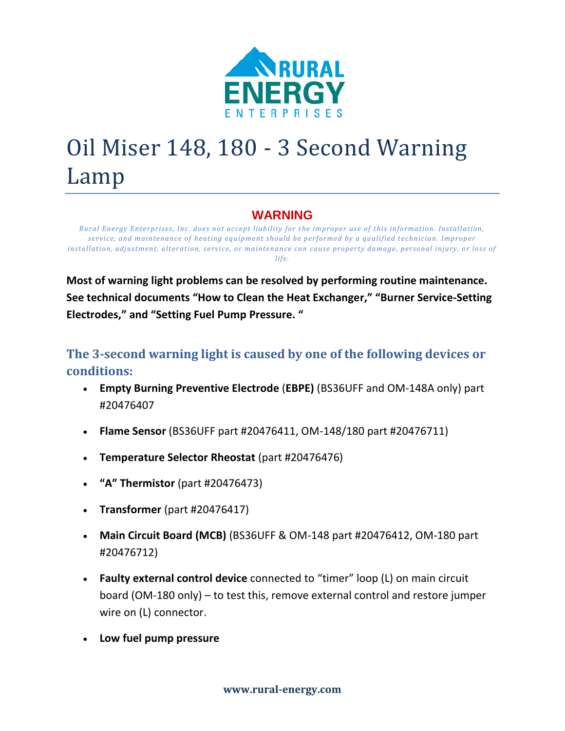

# Oil Miser 148, 180 - 3 Second Warning Lamp

## **WARNING**

*Rural Energy Enterprises, Inc. does not accept liability for the improper use of this information. Installation, service, and maintenance of heating equipment should be performed by a qualified technician. Improper installation, adjustment, alteration, service, or maintenance can cause property damage, personal injury, or loss of life.*

**Most of warning light problems can be resolved by performing routine maintenance. See technical documents "How to Clean the Heat Exchanger," "Burner Service-Setting Electrodes," and "Setting Fuel Pump Pressure. "**

## **The 3-second warning light is caused by one of the following devices or conditions:**

- **Empty Burning Preventive Electrode** (**EBPE)** (BS36UFF and OM-148A only) part #20476407
- **Flame Sensor** (BS36UFF part #20476411, OM-148/180 part #20476711)
- **Temperature Selector Rheostat** (part #20476476)
- **"A" Thermistor** (part #20476473)
- **Transformer** (part #20476417)
- **Main Circuit Board (MCB)** (BS36UFF & OM-148 part #20476412, OM-180 part #20476712)
- **Faulty external control device** connected to "timer" loop (L) on main circuit board (OM-180 only) – to test this, remove external control and restore jumper wire on (L) connector.
- **Low fuel pump pressure**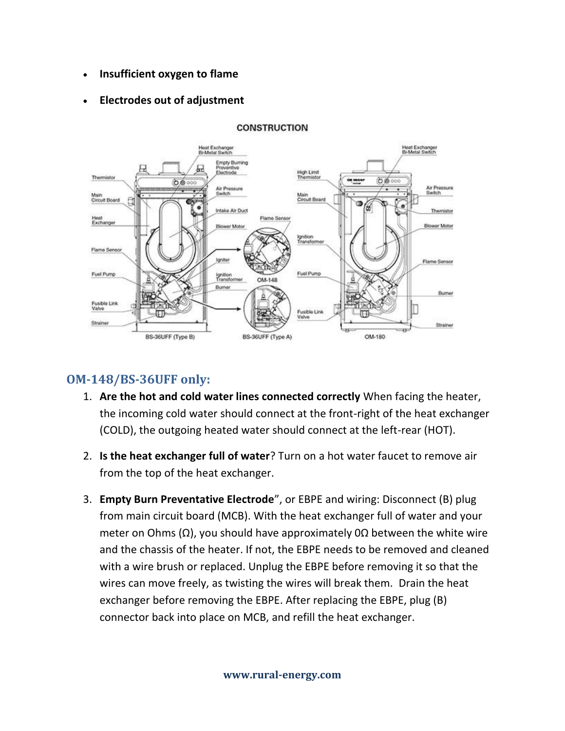• **Insufficient oxygen to flame**

### • **Electrodes out of adjustment**



#### **CONSTRUCTION**

## **OM-148/BS-36UFF only:**

- 1. **Are the hot and cold water lines connected correctly** When facing the heater, the incoming cold water should connect at the front-right of the heat exchanger (COLD), the outgoing heated water should connect at the left-rear (HOT).
- 2. **Is the heat exchanger full of water**? Turn on a hot water faucet to remove air from the top of the heat exchanger.
- 3. **Empty Burn Preventative Electrode**", or EBPE and wiring: Disconnect (B) plug from main circuit board (MCB). With the heat exchanger full of water and your meter on Ohms ( $Ω$ ), you should have approximately 0 $Ω$  between the white wire and the chassis of the heater. If not, the EBPE needs to be removed and cleaned with a wire brush or replaced. Unplug the EBPE before removing it so that the wires can move freely, as twisting the wires will break them. Drain the heat exchanger before removing the EBPE. After replacing the EBPE, plug (B) connector back into place on MCB, and refill the heat exchanger.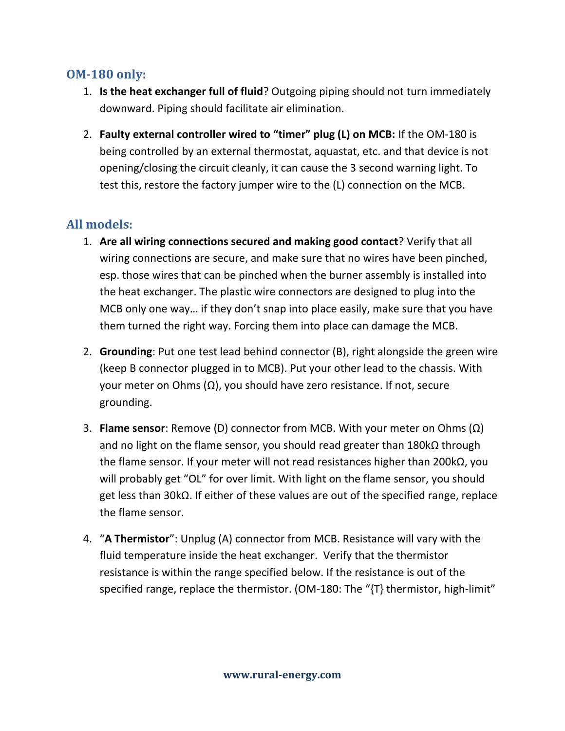## **OM-180 only:**

- 1. **Is the heat exchanger full of fluid**? Outgoing piping should not turn immediately downward. Piping should facilitate air elimination.
- 2. **Faulty external controller wired to "timer" plug (L) on MCB:** If the OM-180 is being controlled by an external thermostat, aquastat, etc. and that device is not opening/closing the circuit cleanly, it can cause the 3 second warning light. To test this, restore the factory jumper wire to the (L) connection on the MCB.

## **All models:**

- 1. **Are all wiring connections secured and making good contact**? Verify that all wiring connections are secure, and make sure that no wires have been pinched, esp. those wires that can be pinched when the burner assembly is installed into the heat exchanger. The plastic wire connectors are designed to plug into the MCB only one way… if they don't snap into place easily, make sure that you have them turned the right way. Forcing them into place can damage the MCB.
- 2. **Grounding**: Put one test lead behind connector (B), right alongside the green wire (keep B connector plugged in to MCB). Put your other lead to the chassis. With your meter on Ohms (Ω), you should have zero resistance. If not, secure grounding.
- 3. **Flame sensor**: Remove (D) connector from MCB. With your meter on Ohms (Ω) and no light on the flame sensor, you should read greater than 180kΩ through the flame sensor. If your meter will not read resistances higher than 200kΩ, you will probably get "OL" for over limit. With light on the flame sensor, you should get less than 30kΩ. If either of these values are out of the specified range, replace the flame sensor.
- 4. "**A Thermistor**": Unplug (A) connector from MCB. Resistance will vary with the fluid temperature inside the heat exchanger. Verify that the thermistor resistance is within the range specified below. If the resistance is out of the specified range, replace the thermistor. (OM-180: The "{T} thermistor, high-limit"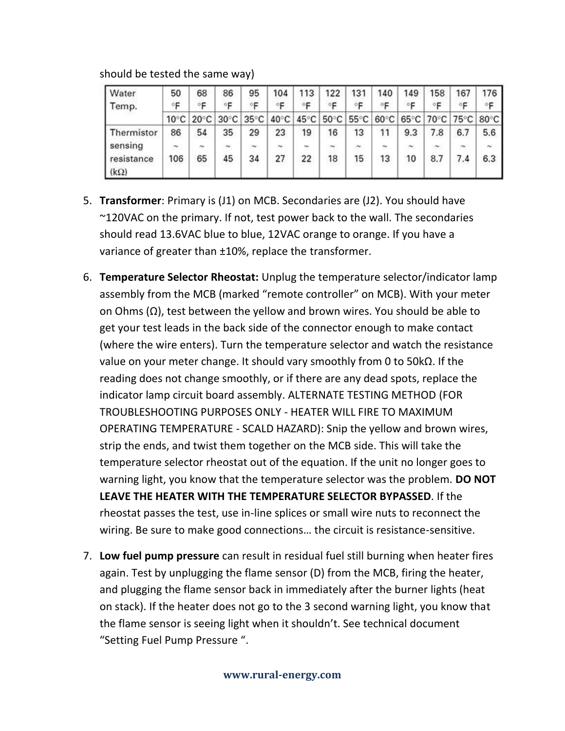| <b>Water</b>              | 50             | 68             | 86             | 95             | 104            | 113            | 122            | 131    | 140                   | 149        | 158            | 167    | 176            |
|---------------------------|----------------|----------------|----------------|----------------|----------------|----------------|----------------|--------|-----------------------|------------|----------------|--------|----------------|
| Temp.                     | ∘F             | ١F.            | Έ              | ۰F             | F              | F              | °F             | ۰F     | ∘⊏                    | ∘⊧         |                | ∘⊏     | ∘⊧             |
|                           | $10^{\circ}$ C | $20^{\circ}$ C | $30^{\circ}$ C | $35^{\circ}$ C | $40^{\circ}$ C | $45^{\circ}$ C | $50^{\circ}$ C | 55°C   | $60^{\circ}$ C        |            | 65°C 70°C 75°C |        | $80^{\circ}$ C |
| Thermistor                | 86             | 54             | 35             | 29             | 23             | 19             | 16             | 13     | 11                    | 9.3        | 7.8            | 6.7    | 5.6            |
| sensing                   | $\sim$         | ×.             | $\sim$         | $\sim$         | $\sim$         | m              | $\sim$         | $\sim$ | $\tilde{\phantom{a}}$ | $\tilde{}$ | $\sim$         | $\sim$ | $\sim$         |
| resistance<br>$(k\Omega)$ | 106            | 65             | 45             | 34             | 27             | 22             | 18             | 15     | 13                    | 10         | 8.7            | 7.4    | 6.3            |

should be tested the same way)

- 5. **Transformer**: Primary is (J1) on MCB. Secondaries are (J2). You should have ~120VAC on the primary. If not, test power back to the wall. The secondaries should read 13.6VAC blue to blue, 12VAC orange to orange. If you have a variance of greater than ±10%, replace the transformer.
- 6. **Temperature Selector Rheostat:** Unplug the temperature selector/indicator lamp assembly from the MCB (marked "remote controller" on MCB). With your meter on Ohms  $(\Omega)$ , test between the yellow and brown wires. You should be able to get your test leads in the back side of the connector enough to make contact (where the wire enters). Turn the temperature selector and watch the resistance value on your meter change. It should vary smoothly from 0 to 50kΩ. If the reading does not change smoothly, or if there are any dead spots, replace the indicator lamp circuit board assembly. ALTERNATE TESTING METHOD (FOR TROUBLESHOOTING PURPOSES ONLY - HEATER WILL FIRE TO MAXIMUM OPERATING TEMPERATURE - SCALD HAZARD): Snip the yellow and brown wires, strip the ends, and twist them together on the MCB side. This will take the temperature selector rheostat out of the equation. If the unit no longer goes to warning light, you know that the temperature selector was the problem. **DO NOT LEAVE THE HEATER WITH THE TEMPERATURE SELECTOR BYPASSED**. If the rheostat passes the test, use in-line splices or small wire nuts to reconnect the wiring. Be sure to make good connections… the circuit is resistance-sensitive.
- 7. **Low fuel pump pressure** can result in residual fuel still burning when heater fires again. Test by unplugging the flame sensor (D) from the MCB, firing the heater, and plugging the flame sensor back in immediately after the burner lights (heat on stack). If the heater does not go to the 3 second warning light, you know that the flame sensor is seeing light when it shouldn't. See technical document "Setting Fuel Pump Pressure ".